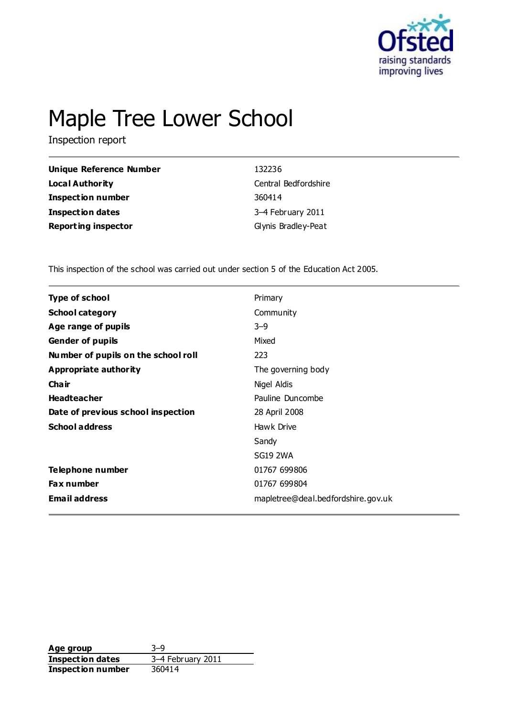

# Maple Tree Lower School

Inspection report

| Unique Reference Number    | 132236               |
|----------------------------|----------------------|
| <b>Local Authority</b>     | Central Bedfordshire |
| <b>Inspection number</b>   | 360414               |
| <b>Inspection dates</b>    | 3-4 February 2011    |
| <b>Reporting inspector</b> | Glynis Bradley-Peat  |

This inspection of the school was carried out under section 5 of the Education Act 2005.

| <b>Type of school</b>               | Primary                            |
|-------------------------------------|------------------------------------|
| <b>School category</b>              | Community                          |
| Age range of pupils                 | $3 - 9$                            |
| <b>Gender of pupils</b>             | Mixed                              |
| Number of pupils on the school roll | 223                                |
| Appropriate authority               | The governing body                 |
| Cha ir                              | Nigel Aldis                        |
| <b>Headteacher</b>                  | Pauline Duncombe                   |
| Date of previous school inspection  | 28 April 2008                      |
| <b>School address</b>               | Hawk Drive                         |
|                                     | Sandy                              |
|                                     | <b>SG19 2WA</b>                    |
| Telephone number                    | 01767 699806                       |
| <b>Fax number</b>                   | 01767 699804                       |
| <b>Email address</b>                | mapletree@deal.bedfordshire.gov.uk |
|                                     |                                    |

**Age group** 3–9<br> **Inspection dates** 3–4 February 2011 **Inspection dates Inspection number** 360414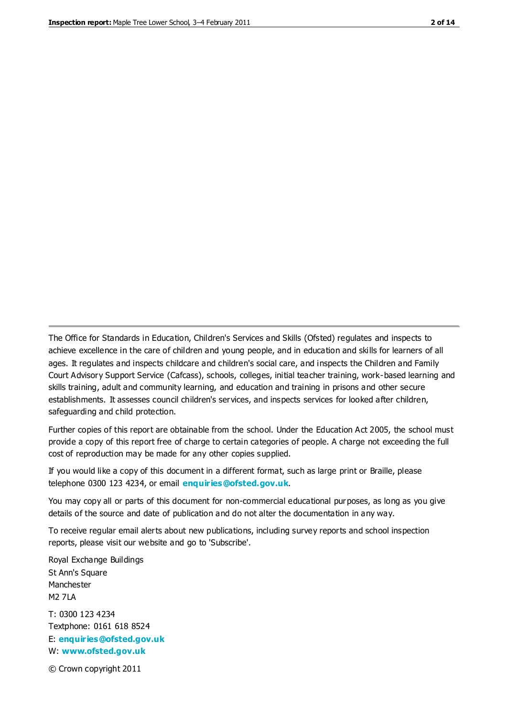The Office for Standards in Education, Children's Services and Skills (Ofsted) regulates and inspects to achieve excellence in the care of children and young people, and in education and skills for learners of all ages. It regulates and inspects childcare and children's social care, and inspects the Children and Family Court Advisory Support Service (Cafcass), schools, colleges, initial teacher training, work-based learning and skills training, adult and community learning, and education and training in prisons and other secure establishments. It assesses council children's services, and inspects services for looked after children, safeguarding and child protection.

Further copies of this report are obtainable from the school. Under the Education Act 2005, the school must provide a copy of this report free of charge to certain categories of people. A charge not exceeding the full cost of reproduction may be made for any other copies supplied.

If you would like a copy of this document in a different format, such as large print or Braille, please telephone 0300 123 4234, or email **[enquiries@ofsted.gov.uk](mailto:enquiries@ofsted.gov.uk)**.

You may copy all or parts of this document for non-commercial educational purposes, as long as you give details of the source and date of publication and do not alter the documentation in any way.

To receive regular email alerts about new publications, including survey reports and school inspection reports, please visit our website and go to 'Subscribe'.

Royal Exchange Buildings St Ann's Square Manchester M2 7LA T: 0300 123 4234 Textphone: 0161 618 8524 E: **[enquiries@ofsted.gov.uk](mailto:enquiries@ofsted.gov.uk)**

W: **[www.ofsted.gov.uk](http://www.ofsted.gov.uk/)**

© Crown copyright 2011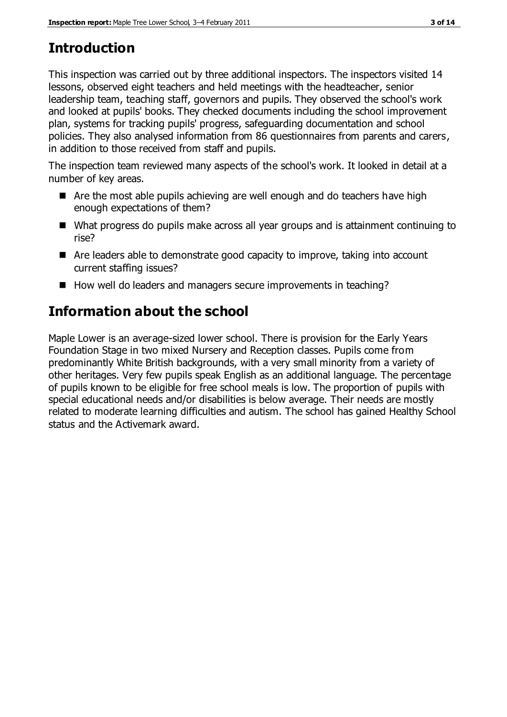# **Introduction**

This inspection was carried out by three additional inspectors. The inspectors visited 14 lessons, observed eight teachers and held meetings with the headteacher, senior leadership team, teaching staff, governors and pupils. They observed the school's work and looked at pupils' books. They checked documents including the school improvement plan, systems for tracking pupils' progress, safeguarding documentation and school policies. They also analysed information from 86 questionnaires from parents and carers, in addition to those received from staff and pupils.

The inspection team reviewed many aspects of the school's work. It looked in detail at a number of key areas.

- Are the most able pupils achieving are well enough and do teachers have high enough expectations of them?
- What progress do pupils make across all year groups and is attainment continuing to rise?
- Are leaders able to demonstrate good capacity to improve, taking into account current staffing issues?
- How well do leaders and managers secure improvements in teaching?

# **Information about the school**

Maple Lower is an average-sized lower school. There is provision for the Early Years Foundation Stage in two mixed Nursery and Reception classes. Pupils come from predominantly White British backgrounds, with a very small minority from a variety of other heritages. Very few pupils speak English as an additional language. The percentage of pupils known to be eligible for free school meals is low. The proportion of pupils with special educational needs and/or disabilities is below average. Their needs are mostly related to moderate learning difficulties and autism. The school has gained Healthy School status and the Activemark award.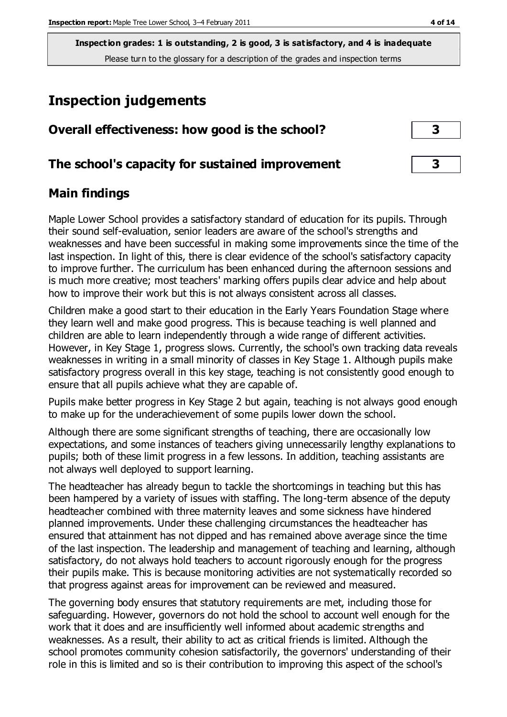# **Inspection judgements**

| Overall effectiveness: how good is the school?  |  |
|-------------------------------------------------|--|
| The school's capacity for sustained improvement |  |

## **Main findings**

Maple Lower School provides a satisfactory standard of education for its pupils. Through their sound self-evaluation, senior leaders are aware of the school's strengths and weaknesses and have been successful in making some improvements since the time of the last inspection. In light of this, there is clear evidence of the school's satisfactory capacity to improve further. The curriculum has been enhanced during the afternoon sessions and is much more creative; most teachers' marking offers pupils clear advice and help about how to improve their work but this is not always consistent across all classes.

Children make a good start to their education in the Early Years Foundation Stage where they learn well and make good progress. This is because teaching is well planned and children are able to learn independently through a wide range of different activities. However, in Key Stage 1, progress slows. Currently, the school's own tracking data reveals weaknesses in writing in a small minority of classes in Key Stage 1. Although pupils make satisfactory progress overall in this key stage, teaching is not consistently good enough to ensure that all pupils achieve what they are capable of.

Pupils make better progress in Key Stage 2 but again, teaching is not always good enough to make up for the underachievement of some pupils lower down the school.

Although there are some significant strengths of teaching, there are occasionally low expectations, and some instances of teachers giving unnecessarily lengthy explanations to pupils; both of these limit progress in a few lessons. In addition, teaching assistants are not always well deployed to support learning.

The headteacher has already begun to tackle the shortcomings in teaching but this has been hampered by a variety of issues with staffing. The long-term absence of the deputy headteacher combined with three maternity leaves and some sickness have hindered planned improvements. Under these challenging circumstances the headteacher has ensured that attainment has not dipped and has remained above average since the time of the last inspection. The leadership and management of teaching and learning, although satisfactory, do not always hold teachers to account rigorously enough for the progress their pupils make. This is because monitoring activities are not systematically recorded so that progress against areas for improvement can be reviewed and measured.

The governing body ensures that statutory requirements are met, including those for safeguarding. However, governors do not hold the school to account well enough for the work that it does and are insufficiently well informed about academic strengths and weaknesses. As a result, their ability to act as critical friends is limited. Although the school promotes community cohesion satisfactorily, the governors' understanding of their role in this is limited and so is their contribution to improving this aspect of the school's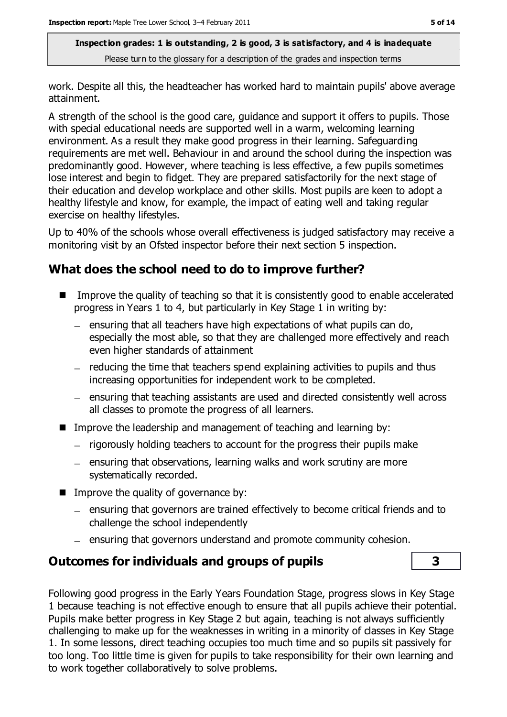work. Despite all this, the headteacher has worked hard to maintain pupils' above average attainment.

A strength of the school is the good care, guidance and support it offers to pupils. Those with special educational needs are supported well in a warm, welcoming learning environment. As a result they make good progress in their learning. Safeguarding requirements are met well. Behaviour in and around the school during the inspection was predominantly good. However, where teaching is less effective, a few pupils sometimes lose interest and begin to fidget. They are prepared satisfactorily for the next stage of their education and develop workplace and other skills. Most pupils are keen to adopt a healthy lifestyle and know, for example, the impact of eating well and taking regular exercise on healthy lifestyles.

Up to 40% of the schools whose overall effectiveness is judged satisfactory may receive a monitoring visit by an Ofsted inspector before their next section 5 inspection.

## **What does the school need to do to improve further?**

- Improve the quality of teaching so that it is consistently good to enable accelerated progress in Years 1 to 4, but particularly in Key Stage 1 in writing by:
	- $-$  ensuring that all teachers have high expectations of what pupils can do, especially the most able, so that they are challenged more effectively and reach even higher standards of attainment
	- $-$  reducing the time that teachers spend explaining activities to pupils and thus increasing opportunities for independent work to be completed.
	- ensuring that teaching assistants are used and directed consistently well across all classes to promote the progress of all learners.
- Improve the leadership and management of teaching and learning by:
	- $-$  rigorously holding teachers to account for the progress their pupils make
	- $=$  ensuring that observations, learning walks and work scrutiny are more systematically recorded.
- $\blacksquare$  Improve the quality of governance by:
	- ensuring that governors are trained effectively to become critical friends and to challenge the school independently
	- $=$  ensuring that governors understand and promote community cohesion.

## **Outcomes for individuals and groups of pupils 3**

Following good progress in the Early Years Foundation Stage, progress slows in Key Stage 1 because teaching is not effective enough to ensure that all pupils achieve their potential. Pupils make better progress in Key Stage 2 but again, teaching is not always sufficiently challenging to make up for the weaknesses in writing in a minority of classes in Key Stage 1. In some lessons, direct teaching occupies too much time and so pupils sit passively for too long. Too little time is given for pupils to take responsibility for their own learning and to work together collaboratively to solve problems.

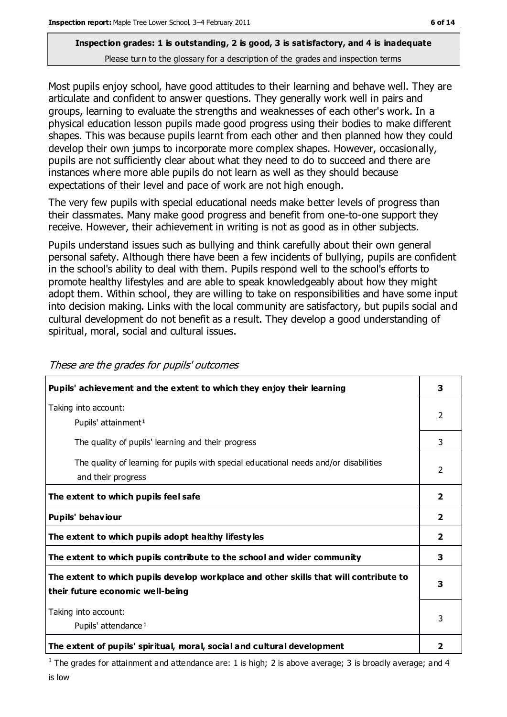Most pupils enjoy school, have good attitudes to their learning and behave well. They are articulate and confident to answer questions. They generally work well in pairs and groups, learning to evaluate the strengths and weaknesses of each other's work. In a physical education lesson pupils made good progress using their bodies to make different shapes. This was because pupils learnt from each other and then planned how they could develop their own jumps to incorporate more complex shapes. However, occasionally, pupils are not sufficiently clear about what they need to do to succeed and there are instances where more able pupils do not learn as well as they should because expectations of their level and pace of work are not high enough.

The very few pupils with special educational needs make better levels of progress than their classmates. Many make good progress and benefit from one-to-one support they receive. However, their achievement in writing is not as good as in other subjects.

Pupils understand issues such as bullying and think carefully about their own general personal safety. Although there have been a few incidents of bullying, pupils are confident in the school's ability to deal with them. Pupils respond well to the school's efforts to promote healthy lifestyles and are able to speak knowledgeably about how they might adopt them. Within school, they are willing to take on responsibilities and have some input into decision making. Links with the local community are satisfactory, but pupils social and cultural development do not benefit as a result. They develop a good understanding of spiritual, moral, social and cultural issues.

| Pupils' achievement and the extent to which they enjoy their learning                                       | 3                       |
|-------------------------------------------------------------------------------------------------------------|-------------------------|
| Taking into account:                                                                                        | $\mathcal{P}$           |
| Pupils' attainment <sup>1</sup>                                                                             |                         |
| The quality of pupils' learning and their progress                                                          | 3                       |
| The quality of learning for pupils with special educational needs and/or disabilities<br>and their progress | $\overline{2}$          |
| The extent to which pupils feel safe                                                                        | $\overline{\mathbf{2}}$ |
| Pupils' behaviour                                                                                           | $\mathbf{2}$            |
| The extent to which pupils adopt healthy lifestyles                                                         | 2                       |
| The extent to which pupils contribute to the school and wider community                                     | 3                       |
| The extent to which pupils develop workplace and other skills that will contribute to                       | 3                       |
| their future economic well-being                                                                            |                         |
| Taking into account:                                                                                        |                         |
| Pupils' attendance <sup>1</sup>                                                                             | 3                       |
| The extent of pupils' spiritual, moral, social and cultural development                                     | 2                       |

These are the grades for pupils' outcomes

<sup>1</sup> The grades for attainment and attendance are: 1 is high; 2 is above average; 3 is broadly average; and 4 is low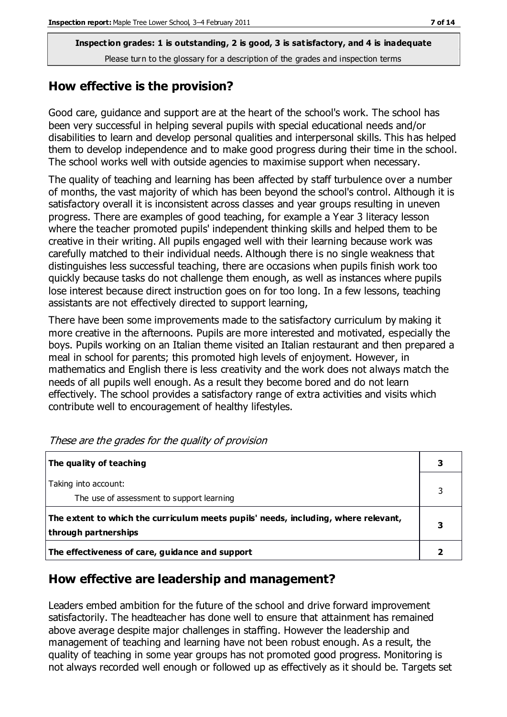## **How effective is the provision?**

Good care, guidance and support are at the heart of the school's work. The school has been very successful in helping several pupils with special educational needs and/or disabilities to learn and develop personal qualities and interpersonal skills. This has helped them to develop independence and to make good progress during their time in the school. The school works well with outside agencies to maximise support when necessary.

The quality of teaching and learning has been affected by staff turbulence over a number of months, the vast majority of which has been beyond the school's control. Although it is satisfactory overall it is inconsistent across classes and year groups resulting in uneven progress. There are examples of good teaching, for example a Year 3 literacy lesson where the teacher promoted pupils' independent thinking skills and helped them to be creative in their writing. All pupils engaged well with their learning because work was carefully matched to their individual needs. Although there is no single weakness that distinguishes less successful teaching, there are occasions when pupils finish work too quickly because tasks do not challenge them enough, as well as instances where pupils lose interest because direct instruction goes on for too long. In a few lessons, teaching assistants are not effectively directed to support learning,

There have been some improvements made to the satisfactory curriculum by making it more creative in the afternoons. Pupils are more interested and motivated, especially the boys. Pupils working on an Italian theme visited an Italian restaurant and then prepared a meal in school for parents; this promoted high levels of enjoyment. However, in mathematics and English there is less creativity and the work does not always match the needs of all pupils well enough. As a result they become bored and do not learn effectively. The school provides a satisfactory range of extra activities and visits which contribute well to encouragement of healthy lifestyles.

| The quality of teaching                                                                                    |   |
|------------------------------------------------------------------------------------------------------------|---|
| Taking into account:<br>The use of assessment to support learning                                          |   |
| The extent to which the curriculum meets pupils' needs, including, where relevant,<br>through partnerships | 3 |
| The effectiveness of care, guidance and support                                                            |   |

These are the grades for the quality of provision

## **How effective are leadership and management?**

Leaders embed ambition for the future of the school and drive forward improvement satisfactorily. The headteacher has done well to ensure that attainment has remained above average despite major challenges in staffing. However the leadership and management of teaching and learning have not been robust enough. As a result, the quality of teaching in some year groups has not promoted good progress. Monitoring is not always recorded well enough or followed up as effectively as it should be. Targets set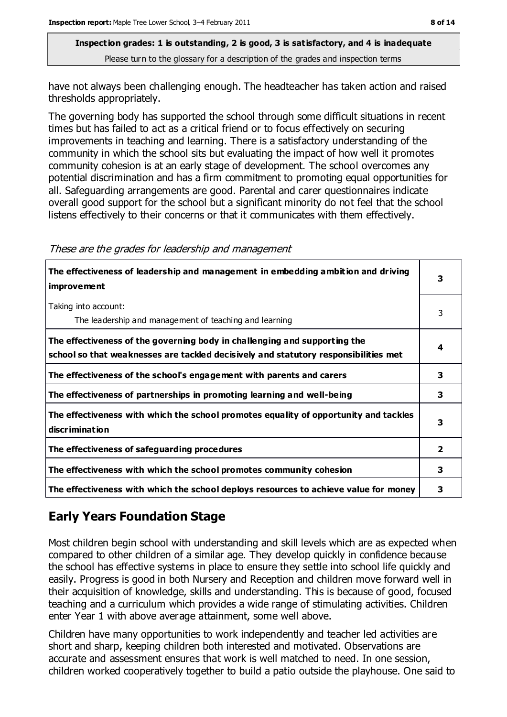have not always been challenging enough. The headteacher has taken action and raised thresholds appropriately.

The governing body has supported the school through some difficult situations in recent times but has failed to act as a critical friend or to focus effectively on securing improvements in teaching and learning. There is a satisfactory understanding of the community in which the school sits but evaluating the impact of how well it promotes community cohesion is at an early stage of development. The school overcomes any potential discrimination and has a firm commitment to promoting equal opportunities for all. Safeguarding arrangements are good. Parental and carer questionnaires indicate overall good support for the school but a significant minority do not feel that the school listens effectively to their concerns or that it communicates with them effectively.

| The effectiveness of leadership and management in embedding ambition and driving<br><i>improvement</i>                                                           |                |
|------------------------------------------------------------------------------------------------------------------------------------------------------------------|----------------|
| Taking into account:<br>The leadership and management of teaching and learning                                                                                   | 3              |
| The effectiveness of the governing body in challenging and supporting the<br>school so that weaknesses are tackled decisively and statutory responsibilities met | 4              |
| The effectiveness of the school's engagement with parents and carers                                                                                             | 3              |
| The effectiveness of partnerships in promoting learning and well-being                                                                                           | 3              |
| The effectiveness with which the school promotes equality of opportunity and tackles<br>discrimination                                                           | 3              |
| The effectiveness of safeguarding procedures                                                                                                                     | $\overline{2}$ |
| The effectiveness with which the school promotes community cohesion                                                                                              | 3              |
| The effectiveness with which the school deploys resources to achieve value for money                                                                             | 3              |

#### These are the grades for leadership and management

## **Early Years Foundation Stage**

Most children begin school with understanding and skill levels which are as expected when compared to other children of a similar age. They develop quickly in confidence because the school has effective systems in place to ensure they settle into school life quickly and easily. Progress is good in both Nursery and Reception and children move forward well in their acquisition of knowledge, skills and understanding. This is because of good, focused teaching and a curriculum which provides a wide range of stimulating activities. Children enter Year 1 with above average attainment, some well above.

Children have many opportunities to work independently and teacher led activities are short and sharp, keeping children both interested and motivated. Observations are accurate and assessment ensures that work is well matched to need. In one session, children worked cooperatively together to build a patio outside the playhouse. One said to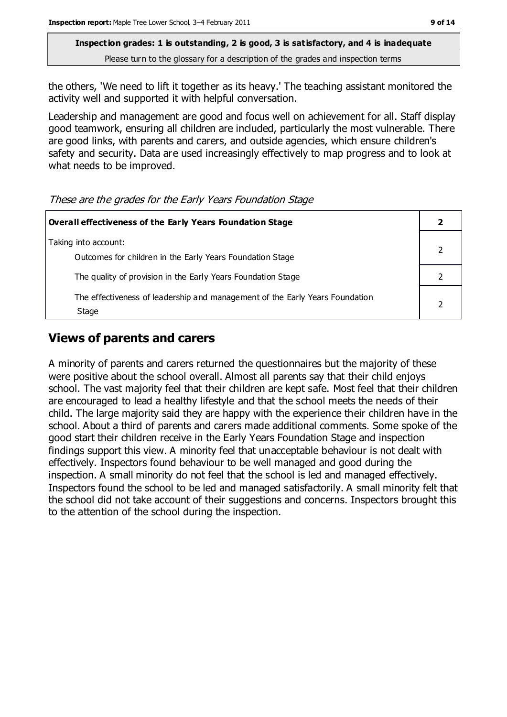the others, 'We need to lift it together as its heavy.' The teaching assistant monitored the activity well and supported it with helpful conversation.

Leadership and management are good and focus well on achievement for all. Staff display good teamwork, ensuring all children are included, particularly the most vulnerable. There are good links, with parents and carers, and outside agencies, which ensure children's safety and security. Data are used increasingly effectively to map progress and to look at what needs to be improved.

These are the grades for the Early Years Foundation Stage

| Overall effectiveness of the Early Years Foundation Stage                             |  |
|---------------------------------------------------------------------------------------|--|
| Taking into account:<br>Outcomes for children in the Early Years Foundation Stage     |  |
| The quality of provision in the Early Years Foundation Stage                          |  |
| The effectiveness of leadership and management of the Early Years Foundation<br>Stage |  |

## **Views of parents and carers**

A minority of parents and carers returned the questionnaires but the majority of these were positive about the school overall. Almost all parents say that their child enjoys school. The vast majority feel that their children are kept safe. Most feel that their children are encouraged to lead a healthy lifestyle and that the school meets the needs of their child. The large majority said they are happy with the experience their children have in the school. About a third of parents and carers made additional comments. Some spoke of the good start their children receive in the Early Years Foundation Stage and inspection findings support this view. A minority feel that unacceptable behaviour is not dealt with effectively. Inspectors found behaviour to be well managed and good during the inspection. A small minority do not feel that the school is led and managed effectively. Inspectors found the school to be led and managed satisfactorily. A small minority felt that the school did not take account of their suggestions and concerns. Inspectors brought this to the attention of the school during the inspection.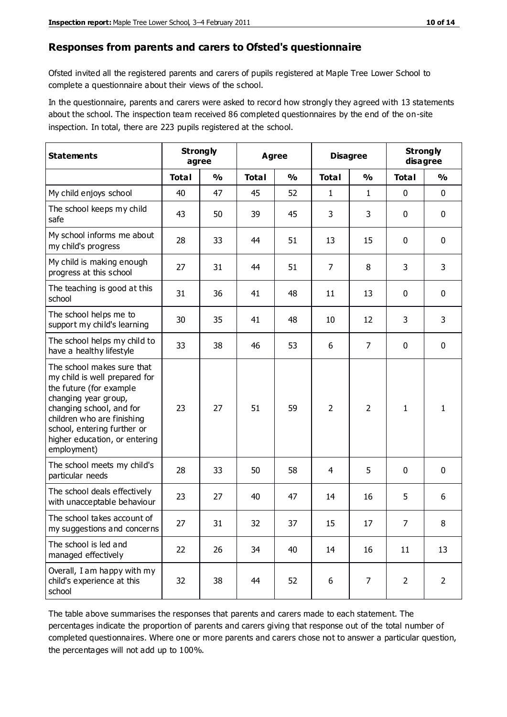#### **Responses from parents and carers to Ofsted's questionnaire**

Ofsted invited all the registered parents and carers of pupils registered at Maple Tree Lower School to complete a questionnaire about their views of the school.

In the questionnaire, parents and carers were asked to record how strongly they agreed with 13 statements about the school. The inspection team received 86 completed questionnaires by the end of the on-site inspection. In total, there are 223 pupils registered at the school.

| <b>Statements</b>                                                                                                                                                                                                                                       | <b>Strongly</b><br>Agree<br>agree |               |              | <b>Disagree</b> |                | <b>Strongly</b><br>disagree |                |                |
|---------------------------------------------------------------------------------------------------------------------------------------------------------------------------------------------------------------------------------------------------------|-----------------------------------|---------------|--------------|-----------------|----------------|-----------------------------|----------------|----------------|
|                                                                                                                                                                                                                                                         | <b>Total</b>                      | $\frac{0}{0}$ | <b>Total</b> | $\frac{0}{0}$   | <b>Total</b>   | $\frac{0}{0}$               | <b>Total</b>   | %              |
| My child enjoys school                                                                                                                                                                                                                                  | 40                                | 47            | 45           | 52              | 1              | $\mathbf{1}$                | $\mathbf 0$    | $\mathbf 0$    |
| The school keeps my child<br>safe                                                                                                                                                                                                                       | 43                                | 50            | 39           | 45              | 3              | 3                           | $\mathbf 0$    | $\mathbf 0$    |
| My school informs me about<br>my child's progress                                                                                                                                                                                                       | 28                                | 33            | 44           | 51              | 13             | 15                          | $\mathbf 0$    | $\mathbf 0$    |
| My child is making enough<br>progress at this school                                                                                                                                                                                                    | 27                                | 31            | 44           | 51              | 7              | 8                           | 3              | 3              |
| The teaching is good at this<br>school                                                                                                                                                                                                                  | 31                                | 36            | 41           | 48              | 11             | 13                          | $\mathbf 0$    | $\mathbf 0$    |
| The school helps me to<br>support my child's learning                                                                                                                                                                                                   | 30                                | 35            | 41           | 48              | 10             | 12                          | 3              | 3              |
| The school helps my child to<br>have a healthy lifestyle                                                                                                                                                                                                | 33                                | 38            | 46           | 53              | 6              | $\overline{7}$              | $\mathbf 0$    | $\mathbf 0$    |
| The school makes sure that<br>my child is well prepared for<br>the future (for example<br>changing year group,<br>changing school, and for<br>children who are finishing<br>school, entering further or<br>higher education, or entering<br>employment) | 23                                | 27            | 51           | 59              | $\overline{2}$ | $\overline{2}$              | $\mathbf{1}$   | 1              |
| The school meets my child's<br>particular needs                                                                                                                                                                                                         | 28                                | 33            | 50           | 58              | 4              | 5                           | $\mathbf 0$    | $\mathbf 0$    |
| The school deals effectively<br>with unacceptable behaviour                                                                                                                                                                                             | 23                                | 27            | 40           | 47              | 14             | 16                          | 5              | 6              |
| The school takes account of<br>my suggestions and concerns                                                                                                                                                                                              | 27                                | 31            | 32           | 37              | 15             | 17                          | $\overline{7}$ | 8              |
| The school is led and<br>managed effectively                                                                                                                                                                                                            | 22                                | 26            | 34           | 40              | 14             | 16                          | 11             | 13             |
| Overall, I am happy with my<br>child's experience at this<br>school                                                                                                                                                                                     | 32                                | 38            | 44           | 52              | 6              | $\overline{7}$              | $\overline{2}$ | $\overline{2}$ |

The table above summarises the responses that parents and carers made to each statement. The percentages indicate the proportion of parents and carers giving that response out of the total number of completed questionnaires. Where one or more parents and carers chose not to answer a particular question, the percentages will not add up to 100%.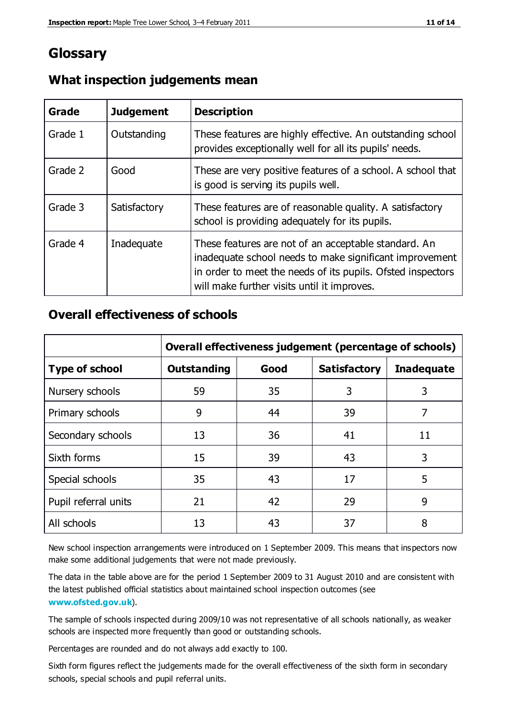## **Glossary**

| Grade   | <b>Judgement</b> | <b>Description</b>                                                                                                                                                                                                            |
|---------|------------------|-------------------------------------------------------------------------------------------------------------------------------------------------------------------------------------------------------------------------------|
| Grade 1 | Outstanding      | These features are highly effective. An outstanding school<br>provides exceptionally well for all its pupils' needs.                                                                                                          |
| Grade 2 | Good             | These are very positive features of a school. A school that<br>is good is serving its pupils well.                                                                                                                            |
| Grade 3 | Satisfactory     | These features are of reasonable quality. A satisfactory<br>school is providing adequately for its pupils.                                                                                                                    |
| Grade 4 | Inadequate       | These features are not of an acceptable standard. An<br>inadequate school needs to make significant improvement<br>in order to meet the needs of its pupils. Ofsted inspectors<br>will make further visits until it improves. |

## **What inspection judgements mean**

## **Overall effectiveness of schools**

|                       | Overall effectiveness judgement (percentage of schools) |      |                     |                   |
|-----------------------|---------------------------------------------------------|------|---------------------|-------------------|
| <b>Type of school</b> | <b>Outstanding</b>                                      | Good | <b>Satisfactory</b> | <b>Inadequate</b> |
| Nursery schools       | 59                                                      | 35   | 3                   | 3                 |
| Primary schools       | 9                                                       | 44   | 39                  | 7                 |
| Secondary schools     | 13                                                      | 36   | 41                  | 11                |
| Sixth forms           | 15                                                      | 39   | 43                  | 3                 |
| Special schools       | 35                                                      | 43   | 17                  | 5                 |
| Pupil referral units  | 21                                                      | 42   | 29                  | 9                 |
| All schools           | 13                                                      | 43   | 37                  | 8                 |

New school inspection arrangements were introduced on 1 September 2009. This means that inspectors now make some additional judgements that were not made previously.

The data in the table above are for the period 1 September 2009 to 31 August 2010 and are consistent with the latest published official statistics about maintained school inspection outcomes (see **[www.ofsted.gov.uk](http://www.ofsted.gov.uk/)**).

The sample of schools inspected during 2009/10 was not representative of all schools nationally, as weaker schools are inspected more frequently than good or outstanding schools.

Percentages are rounded and do not always add exactly to 100.

Sixth form figures reflect the judgements made for the overall effectiveness of the sixth form in secondary schools, special schools and pupil referral units.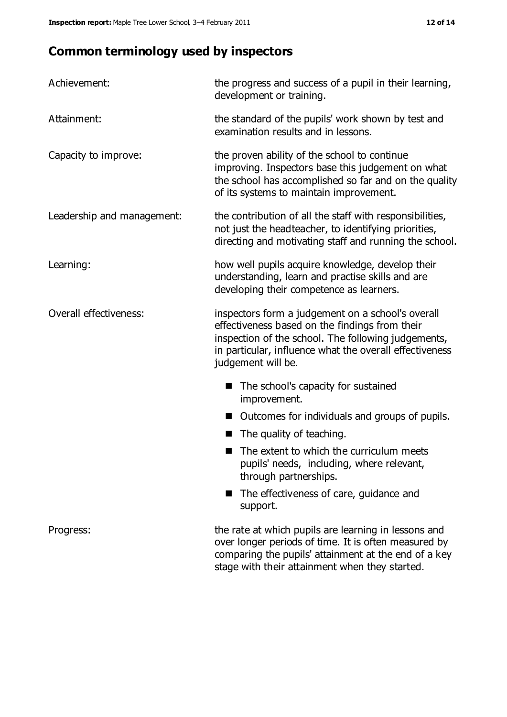## **Common terminology used by inspectors**

| Achievement:                  | the progress and success of a pupil in their learning,<br>development or training.                                                                                                                                                          |  |
|-------------------------------|---------------------------------------------------------------------------------------------------------------------------------------------------------------------------------------------------------------------------------------------|--|
| Attainment:                   | the standard of the pupils' work shown by test and<br>examination results and in lessons.                                                                                                                                                   |  |
| Capacity to improve:          | the proven ability of the school to continue<br>improving. Inspectors base this judgement on what<br>the school has accomplished so far and on the quality<br>of its systems to maintain improvement.                                       |  |
| Leadership and management:    | the contribution of all the staff with responsibilities,<br>not just the headteacher, to identifying priorities,<br>directing and motivating staff and running the school.                                                                  |  |
| Learning:                     | how well pupils acquire knowledge, develop their<br>understanding, learn and practise skills and are<br>developing their competence as learners.                                                                                            |  |
| <b>Overall effectiveness:</b> | inspectors form a judgement on a school's overall<br>effectiveness based on the findings from their<br>inspection of the school. The following judgements,<br>in particular, influence what the overall effectiveness<br>judgement will be. |  |
|                               | The school's capacity for sustained<br>improvement.                                                                                                                                                                                         |  |
|                               | Outcomes for individuals and groups of pupils.                                                                                                                                                                                              |  |
|                               | The quality of teaching.                                                                                                                                                                                                                    |  |
|                               | The extent to which the curriculum meets<br>pupils' needs, including, where relevant,<br>through partnerships.                                                                                                                              |  |
|                               | The effectiveness of care, guidance and<br>support.                                                                                                                                                                                         |  |
| Progress:                     | the rate at which pupils are learning in lessons and<br>over longer periods of time. It is often measured by<br>comparing the pupils' attainment at the end of a key                                                                        |  |

stage with their attainment when they started.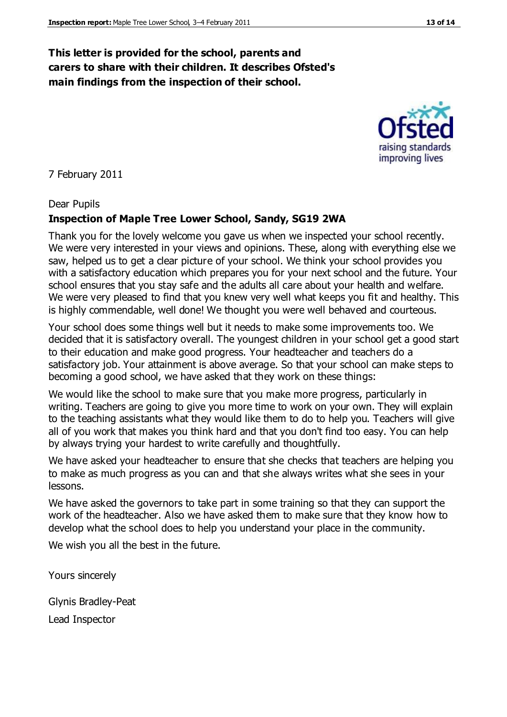## **This letter is provided for the school, parents and carers to share with their children. It describes Ofsted's main findings from the inspection of their school.**

#### 7 February 2011

#### Dear Pupils

#### **Inspection of Maple Tree Lower School, Sandy, SG19 2WA**

Thank you for the lovely welcome you gave us when we inspected your school recently. We were very interested in your views and opinions. These, along with everything else we saw, helped us to get a clear picture of your school. We think your school provides you with a satisfactory education which prepares you for your next school and the future. Your school ensures that you stay safe and the adults all care about your health and welfare. We were very pleased to find that you knew very well what keeps you fit and healthy. This is highly commendable, well done! We thought you were well behaved and courteous.

Your school does some things well but it needs to make some improvements too. We decided that it is satisfactory overall. The youngest children in your school get a good start to their education and make good progress. Your headteacher and teachers do a satisfactory job. Your attainment is above average. So that your school can make steps to becoming a good school, we have asked that they work on these things:

We would like the school to make sure that you make more progress, particularly in writing. Teachers are going to give you more time to work on your own. They will explain to the teaching assistants what they would like them to do to help you. Teachers will give all of you work that makes you think hard and that you don't find too easy. You can help by always trying your hardest to write carefully and thoughtfully.

We have asked your headteacher to ensure that she checks that teachers are helping you to make as much progress as you can and that she always writes what she sees in your lessons.

We have asked the governors to take part in some training so that they can support the work of the headteacher. Also we have asked them to make sure that they know how to develop what the school does to help you understand your place in the community.

We wish you all the best in the future.

Yours sincerely

Glynis Bradley-Peat

Lead Inspector